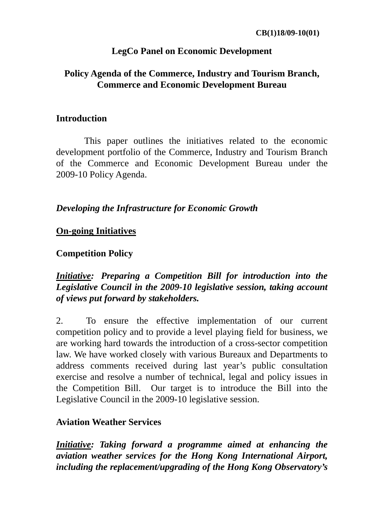### **LegCo Panel on Economic Development**

### **Policy Agenda of the Commerce, Industry and Tourism Branch, Commerce and Economic Development Bureau**

#### **Introduction**

This paper outlines the initiatives related to the economic development portfolio of the Commerce, Industry and Tourism Branch of the Commerce and Economic Development Bureau under the 2009-10 Policy Agenda.

#### *Developing the Infrastructure for Economic Growth*

#### **On-going Initiatives**

#### **Competition Policy**

# *Initiative: Preparing a Competition Bill for introduction into the Legislative Council in the 2009-10 legislative session, taking account of views put forward by stakeholders.*

2. To ensure the effective implementation of our current competition policy and to provide a level playing field for business, we are working hard towards the introduction of a cross-sector competition law. We have worked closely with various Bureaux and Departments to address comments received during last year's public consultation exercise and resolve a number of technical, legal and policy issues in the Competition Bill. Our target is to introduce the Bill into the Legislative Council in the 2009-10 legislative session.

#### **Aviation Weather Services**

*Initiative: Taking forward a programme aimed at enhancing the aviation weather services for the Hong Kong International Airport, including the replacement/upgrading of the Hong Kong Observatory's*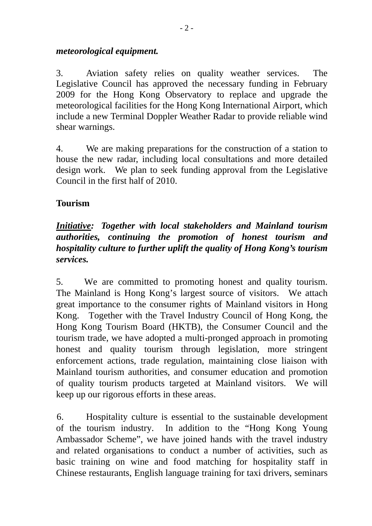#### *meteorological equipment.*

3. Aviation safety relies on quality weather services. The Legislative Council has approved the necessary funding in February 2009 for the Hong Kong Observatory to replace and upgrade the meteorological facilities for the Hong Kong International Airport, which include a new Terminal Doppler Weather Radar to provide reliable wind shear warnings.

4. We are making preparations for the construction of a station to house the new radar, including local consultations and more detailed design work. We plan to seek funding approval from the Legislative Council in the first half of 2010.

# **Tourism**

# *Initiative: Together with local stakeholders and Mainland tourism authorities, continuing the promotion of honest tourism and hospitality culture to further uplift the quality of Hong Kong's tourism services.*

5. We are committed to promoting honest and quality tourism. The Mainland is Hong Kong's largest source of visitors. We attach great importance to the consumer rights of Mainland visitors in Hong Kong. Together with the Travel Industry Council of Hong Kong, the Hong Kong Tourism Board (HKTB), the Consumer Council and the tourism trade, we have adopted a multi-pronged approach in promoting honest and quality tourism through legislation, more stringent enforcement actions, trade regulation, maintaining close liaison with Mainland tourism authorities, and consumer education and promotion of quality tourism products targeted at Mainland visitors. We will keep up our rigorous efforts in these areas.

 6. Hospitality culture is essential to the sustainable development of the tourism industry. In addition to the "Hong Kong Young Ambassador Scheme", we have joined hands with the travel industry and related organisations to conduct a number of activities, such as basic training on wine and food matching for hospitality staff in Chinese restaurants, English language training for taxi drivers, seminars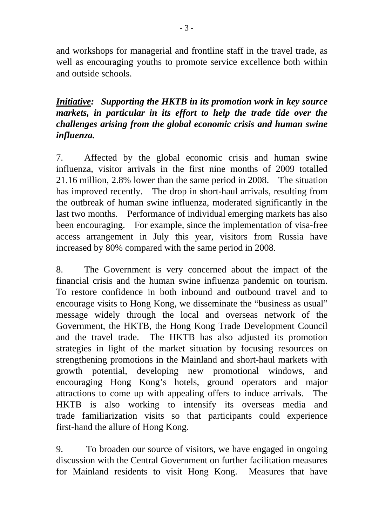and workshops for managerial and frontline staff in the travel trade, as well as encouraging youths to promote service excellence both within and outside schools.

# *Initiative: Supporting the HKTB in its promotion work in key source markets, in particular in its effort to help the trade tide over the challenges arising from the global economic crisis and human swine influenza.*

7. Affected by the global economic crisis and human swine influenza, visitor arrivals in the first nine months of 2009 totalled 21.16 million, 2.8% lower than the same period in 2008. The situation has improved recently. The drop in short-haul arrivals, resulting from the outbreak of human swine influenza, moderated significantly in the last two months. Performance of individual emerging markets has also been encouraging. For example, since the implementation of visa-free access arrangement in July this year, visitors from Russia have increased by 80% compared with the same period in 2008.

8. The Government is very concerned about the impact of the financial crisis and the human swine influenza pandemic on tourism. To restore confidence in both inbound and outbound travel and to encourage visits to Hong Kong, we disseminate the "business as usual" message widely through the local and overseas network of the Government, the HKTB, the Hong Kong Trade Development Council and the travel trade. The HKTB has also adjusted its promotion strategies in light of the market situation by focusing resources on strengthening promotions in the Mainland and short-haul markets with growth potential, developing new promotional windows, and encouraging Hong Kong's hotels, ground operators and major attractions to come up with appealing offers to induce arrivals. The HKTB is also working to intensify its overseas media and trade familiarization visits so that participants could experience first-hand the allure of Hong Kong.

9. To broaden our source of visitors, we have engaged in ongoing discussion with the Central Government on further facilitation measures for Mainland residents to visit Hong Kong. Measures that have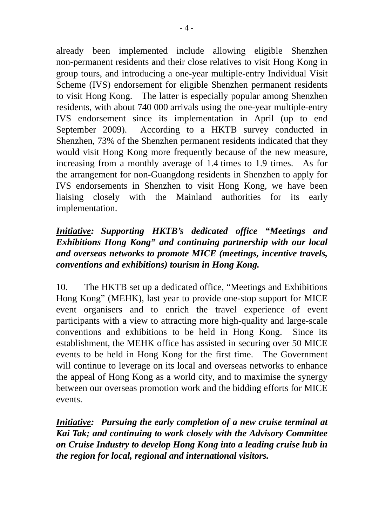already been implemented include allowing eligible Shenzhen non-permanent residents and their close relatives to visit Hong Kong in group tours, and introducing a one-year multiple-entry Individual Visit Scheme (IVS) endorsement for eligible Shenzhen permanent residents to visit Hong Kong. The latter is especially popular among Shenzhen residents, with about 740 000 arrivals using the one-year multiple-entry IVS endorsement since its implementation in April (up to end September 2009). According to a HKTB survey conducted in Shenzhen, 73% of the Shenzhen permanent residents indicated that they would visit Hong Kong more frequently because of the new measure, increasing from a monthly average of 1.4 times to 1.9 times. As for the arrangement for non-Guangdong residents in Shenzhen to apply for IVS endorsements in Shenzhen to visit Hong Kong, we have been liaising closely with the Mainland authorities for its early implementation.

# *Initiative: Supporting HKTB's dedicated office "Meetings and Exhibitions Hong Kong" and continuing partnership with our local and overseas networks to promote MICE (meetings, incentive travels, conventions and exhibitions) tourism in Hong Kong.*

10. The HKTB set up a dedicated office, "Meetings and Exhibitions Hong Kong" (MEHK), last year to provide one-stop support for MICE event organisers and to enrich the travel experience of event participants with a view to attracting more high-quality and large-scale conventions and exhibitions to be held in Hong Kong. Since its establishment, the MEHK office has assisted in securing over 50 MICE events to be held in Hong Kong for the first time. The Government will continue to leverage on its local and overseas networks to enhance the appeal of Hong Kong as a world city, and to maximise the synergy between our overseas promotion work and the bidding efforts for MICE events.

*Initiative: Pursuing the early completion of a new cruise terminal at Kai Tak; and continuing to work closely with the Advisory Committee on Cruise Industry to develop Hong Kong into a leading cruise hub in the region for local, regional and international visitors.*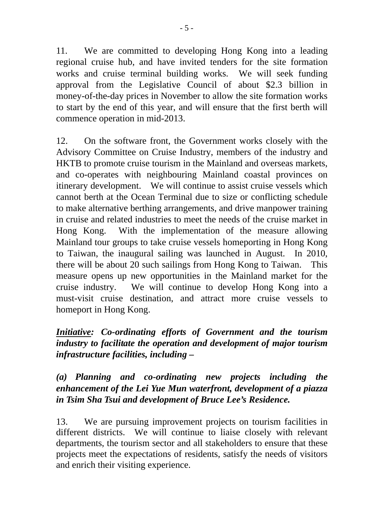11. We are committed to developing Hong Kong into a leading regional cruise hub, and have invited tenders for the site formation works and cruise terminal building works. We will seek funding approval from the Legislative Council of about \$2.3 billion in money-of-the-day prices in November to allow the site formation works to start by the end of this year, and will ensure that the first berth will commence operation in mid-2013.

12. On the software front, the Government works closely with the Advisory Committee on Cruise Industry, members of the industry and HKTB to promote cruise tourism in the Mainland and overseas markets, and co-operates with neighbouring Mainland coastal provinces on itinerary development. We will continue to assist cruise vessels which cannot berth at the Ocean Terminal due to size or conflicting schedule to make alternative berthing arrangements, and drive manpower training in cruise and related industries to meet the needs of the cruise market in Hong Kong. With the implementation of the measure allowing Mainland tour groups to take cruise vessels homeporting in Hong Kong to Taiwan, the inaugural sailing was launched in August. In 2010, there will be about 20 such sailings from Hong Kong to Taiwan. This measure opens up new opportunities in the Mainland market for the cruise industry. We will continue to develop Hong Kong into a must-visit cruise destination, and attract more cruise vessels to homeport in Hong Kong.

# *Initiative: Co-ordinating efforts of Government and the tourism industry to facilitate the operation and development of major tourism infrastructure facilities, including –*

# *(a) Planning and co-ordinating new projects including the enhancement of the Lei Yue Mun waterfront, development of a piazza in Tsim Sha Tsui and development of Bruce Lee's Residence.*

13. We are pursuing improvement projects on tourism facilities in different districts. We will continue to liaise closely with relevant departments, the tourism sector and all stakeholders to ensure that these projects meet the expectations of residents, satisfy the needs of visitors and enrich their visiting experience.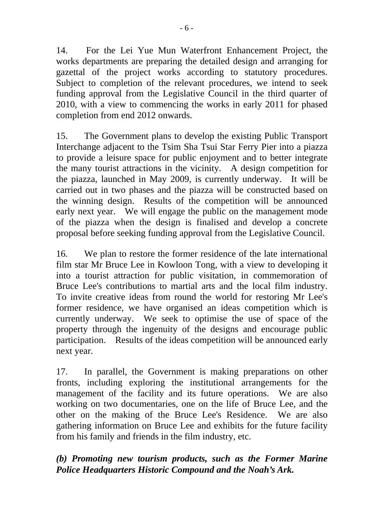14. For the Lei Yue Mun Waterfront Enhancement Project, the works departments are preparing the detailed design and arranging for gazettal of the project works according to statutory procedures. Subject to completion of the relevant procedures, we intend to seek funding approval from the Legislative Council in the third quarter of 2010, with a view to commencing the works in early 2011 for phased completion from end 2012 onwards.

15. The Government plans to develop the existing Public Transport Interchange adjacent to the Tsim Sha Tsui Star Ferry Pier into a piazza to provide a leisure space for public enjoyment and to better integrate the many tourist attractions in the vicinity. A design competition for the piazza, launched in May 2009, is currently underway. It will be carried out in two phases and the piazza will be constructed based on the winning design. Results of the competition will be announced early next year. We will engage the public on the management mode of the piazza when the design is finalised and develop a concrete proposal before seeking funding approval from the Legislative Council.

16. We plan to restore the former residence of the late international film star Mr Bruce Lee in Kowloon Tong, with a view to developing it into a tourist attraction for public visitation, in commemoration of Bruce Lee's contributions to martial arts and the local film industry. To invite creative ideas from round the world for restoring Mr Lee's former residence, we have organised an ideas competition which is currently underway. We seek to optimise the use of space of the property through the ingenuity of the designs and encourage public participation. Results of the ideas competition will be announced early next year.

17. In parallel, the Government is making preparations on other fronts, including exploring the institutional arrangements for the management of the facility and its future operations. We are also working on two documentaries, one on the life of Bruce Lee, and the other on the making of the Bruce Lee's Residence. We are also gathering information on Bruce Lee and exhibits for the future facility from his family and friends in the film industry, etc.

# *(b) Promoting new tourism products, such as the Former Marine Police Headquarters Historic Compound and the Noah's Ark.*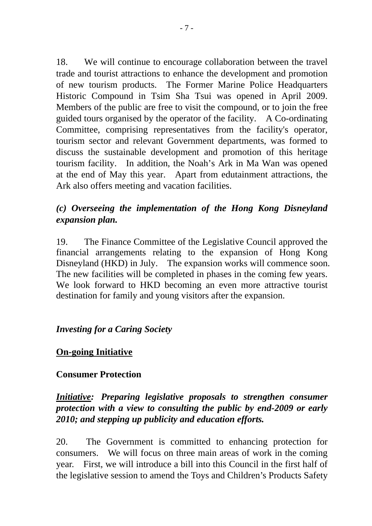18. We will continue to encourage collaboration between the travel trade and tourist attractions to enhance the development and promotion of new tourism products. The Former Marine Police Headquarters Historic Compound in Tsim Sha Tsui was opened in April 2009. Members of the public are free to visit the compound, or to join the free guided tours organised by the operator of the facility. A Co-ordinating Committee, comprising representatives from the facility's operator, tourism sector and relevant Government departments, was formed to discuss the sustainable development and promotion of this heritage tourism facility. In addition, the Noah's Ark in Ma Wan was opened at the end of May this year. Apart from edutainment attractions, the Ark also offers meeting and vacation facilities.

# *(c) Overseeing the implementation of the Hong Kong Disneyland expansion plan.*

19. The Finance Committee of the Legislative Council approved the financial arrangements relating to the expansion of Hong Kong Disneyland (HKD) in July. The expansion works will commence soon. The new facilities will be completed in phases in the coming few years. We look forward to HKD becoming an even more attractive tourist destination for family and young visitors after the expansion.

### *Investing for a Caring Society*

### **On-going Initiative**

### **Consumer Protection**

# *Initiative: Preparing legislative proposals to strengthen consumer protection with a view to consulting the public by end-2009 or early 2010; and stepping up publicity and education efforts.*

20. The Government is committed to enhancing protection for consumers. We will focus on three main areas of work in the coming year. First, we will introduce a bill into this Council in the first half of the legislative session to amend the Toys and Children's Products Safety